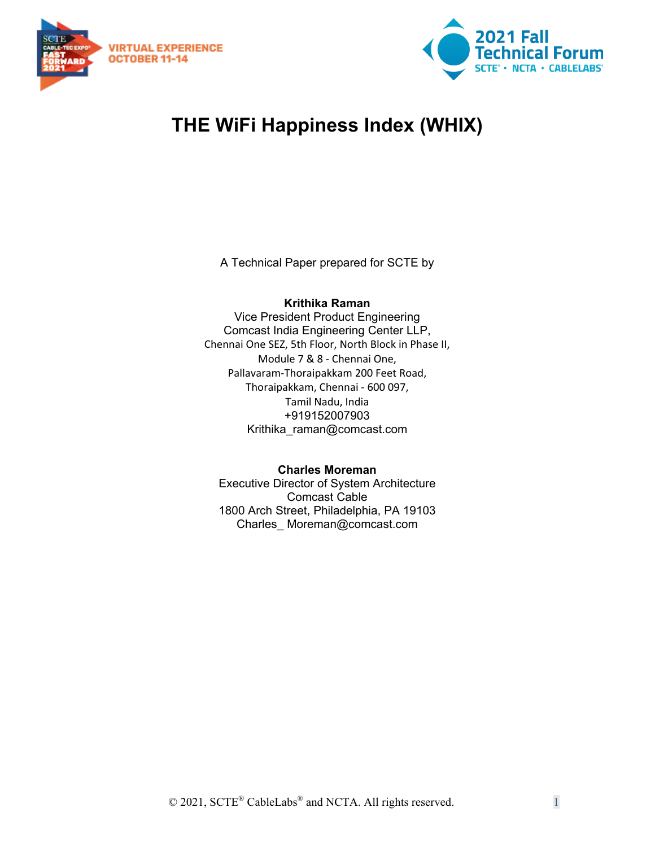



# **THE WiFi Happiness Index (WHIX)**

A Technical Paper prepared for SCTE by

#### **Krithika Raman**

Vice President Product Engineering Comcast India Engineering Center LLP, Chennai One SEZ, 5th Floor, North Block in Phase II, Module 7 & 8 - Chennai One, Pallavaram-Thoraipakkam 200 Feet Road, Thoraipakkam, Chennai - 600 097, Tamil Nadu, India +919152007903 Krithika\_raman@comcast.com

#### **Charles Moreman**

Executive Director of System Architecture Comcast Cable 1800 Arch Street, Philadelphia, PA 19103 Charles\_ Moreman@comcast.com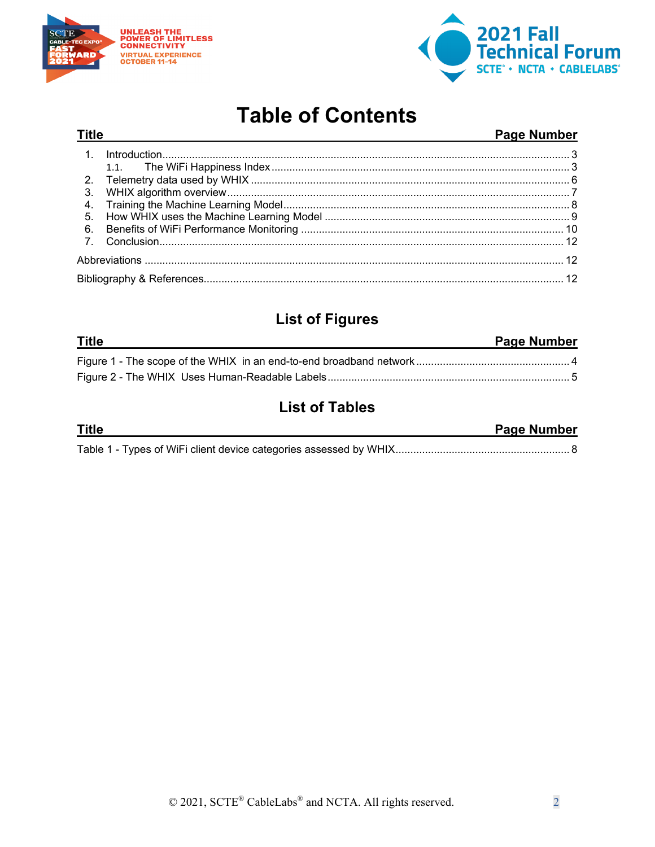

**Title** 



# **Table of Contents**

#### Page Number

| 3. |  |  |
|----|--|--|
|    |  |  |
| 5. |  |  |
| 6. |  |  |
|    |  |  |
|    |  |  |
|    |  |  |

## **List of Figures**

| <b>Title</b> | <b>Page Number</b> |
|--------------|--------------------|
|              |                    |
|              |                    |

## **List of Tables**

| <b>Title</b> | <b>Page Number</b> |
|--------------|--------------------|
|              |                    |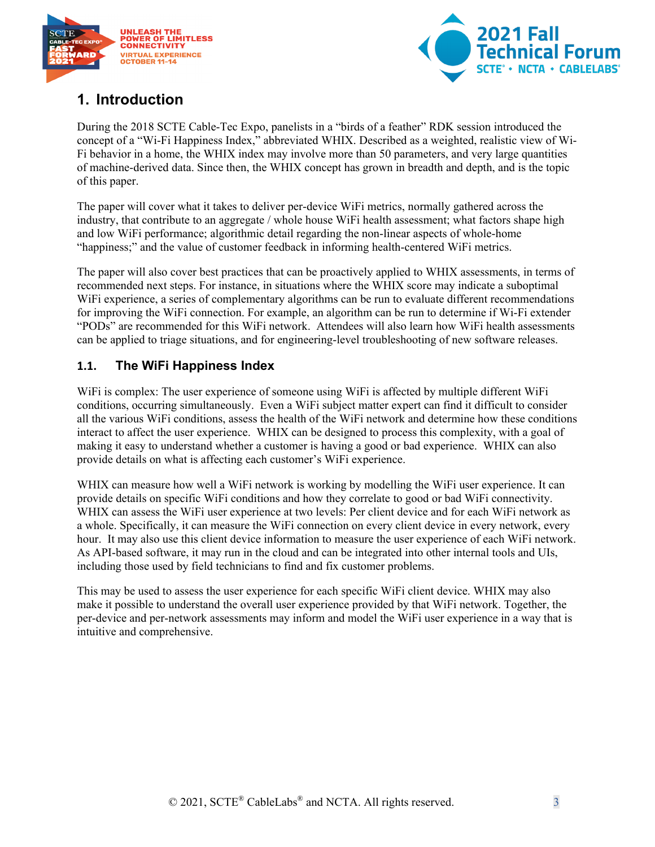



## <span id="page-2-0"></span>**1. Introduction**

During the 2018 SCTE Cable-Tec Expo, panelists in a "birds of a feather" RDK session introduced the concept of a "Wi-Fi Happiness Index," abbreviated WHIX. Described as a weighted, realistic view of Wi-Fi behavior in a home, the WHIX index may involve more than 50 parameters, and very large quantities of machine-derived data. Since then, the WHIX concept has grown in breadth and depth, and is the topic of this paper.

The paper will cover what it takes to deliver per-device WiFi metrics, normally gathered across the industry, that contribute to an aggregate / whole house WiFi health assessment; what factors shape high and low WiFi performance; algorithmic detail regarding the non-linear aspects of whole-home "happiness;" and the value of customer feedback in informing health-centered WiFi metrics.

The paper will also cover best practices that can be proactively applied to WHIX assessments, in terms of recommended next steps. For instance, in situations where the WHIX score may indicate a suboptimal WiFi experience, a series of complementary algorithms can be run to evaluate different recommendations for improving the WiFi connection. For example, an algorithm can be run to determine if Wi-Fi extender "PODs" are recommended for this WiFi network. Attendees will also learn how WiFi health assessments can be applied to triage situations, and for engineering-level troubleshooting of new software releases.

#### <span id="page-2-1"></span>**1.1. The WiFi Happiness Index**

WiFi is complex: The user experience of someone using WiFi is affected by multiple different WiFi conditions, occurring simultaneously. Even a WiFi subject matter expert can find it difficult to consider all the various WiFi conditions, assess the health of the WiFi network and determine how these conditions interact to affect the user experience. WHIX can be designed to process this complexity, with a goal of making it easy to understand whether a customer is having a good or bad experience. WHIX can also provide details on what is affecting each customer's WiFi experience.

WHIX can measure how well a WiFi network is working by modelling the WiFi user experience. It can provide details on specific WiFi conditions and how they correlate to good or bad WiFi connectivity. WHIX can assess the WiFi user experience at two levels: Per client device and for each WiFi network as a whole. Specifically, it can measure the WiFi connection on every client device in every network, every hour. It may also use this client device information to measure the user experience of each WiFi network. As API-based software, it may run in the cloud and can be integrated into other internal tools and UIs, including those used by field technicians to find and fix customer problems.

This may be used to assess the user experience for each specific WiFi client device. WHIX may also make it possible to understand the overall user experience provided by that WiFi network. Together, the per-device and per-network assessments may inform and model the WiFi user experience in a way that is intuitive and comprehensive.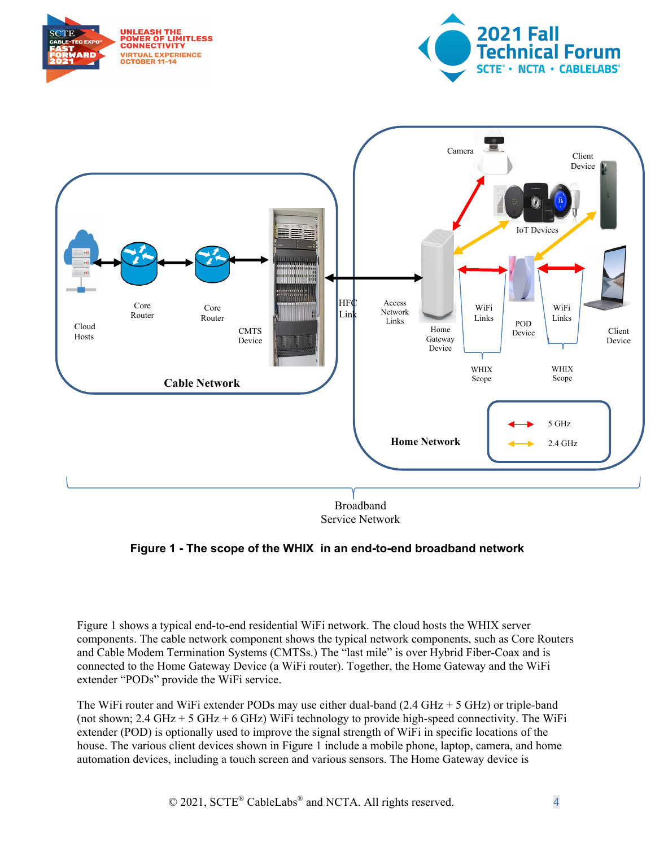





Service Network

#### <span id="page-3-0"></span>**Figure 1 - The scope of the WHIX in an end-to-end broadband network**

Figure 1 shows a typical end-to-end residential WiFi network. The cloud hosts the WHIX server components. The cable network component shows the typical network components, such as Core Routers and Cable Modem Termination Systems (CMTSs.) The "last mile" is over Hybrid Fiber-Coax and is connected to the Home Gateway Device (a WiFi router). Together, the Home Gateway and the WiFi extender "PODs" provide the WiFi service.

The WiFi router and WiFi extender PODs may use either dual-band  $(2.4 \text{ GHz} + 5 \text{ GHz})$  or triple-band (not shown;  $2.4 \text{ GHz} + 5 \text{ GHz} + 6 \text{ GHz}$ ) WiFi technology to provide high-speed connectivity. The WiFi extender (POD) is optionally used to improve the signal strength of WiFi in specific locations of the house. The various client devices shown in Figure 1 include a mobile phone, laptop, camera, and home automation devices, including a touch screen and various sensors. The Home Gateway device is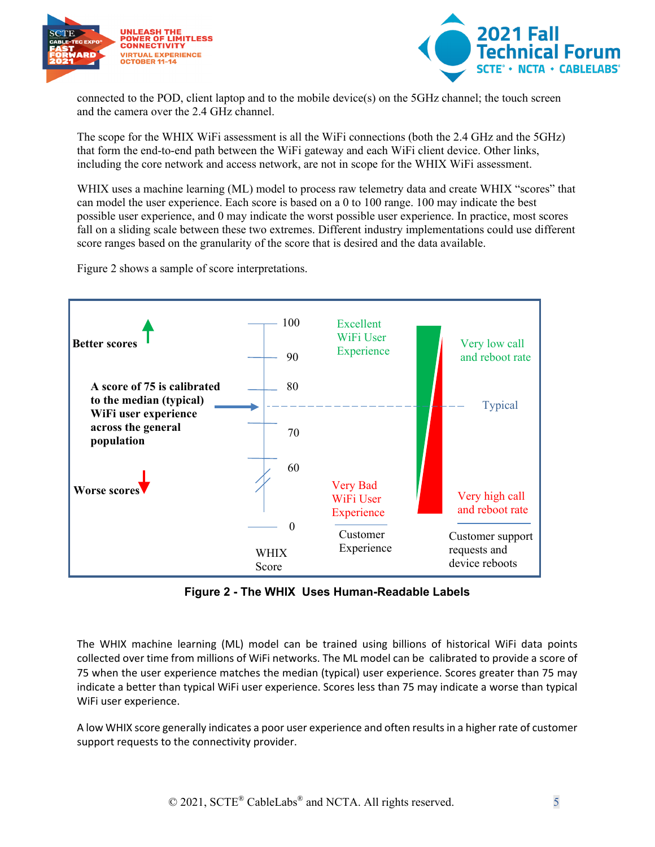



connected to the POD, client laptop and to the mobile device(s) on the 5GHz channel; the touch screen and the camera over the 2.4 GHz channel.

The scope for the WHIX WiFi assessment is all the WiFi connections (both the 2.4 GHz and the 5GHz) that form the end-to-end path between the WiFi gateway and each WiFi client device. Other links, including the core network and access network, are not in scope for the WHIX WiFi assessment.

WHIX uses a machine learning (ML) model to process raw telemetry data and create WHIX "scores" that can model the user experience. Each score is based on a 0 to 100 range. 100 may indicate the best possible user experience, and 0 may indicate the worst possible user experience. In practice, most scores fall on a sliding scale between these two extremes. Different industry implementations could use different score ranges based on the granularity of the score that is desired and the data available.

Figure 2 shows a sample of score interpretations.



**Figure 2 - The WHIX Uses Human-Readable Labels**

<span id="page-4-0"></span>The WHIX machine learning (ML) model can be trained using billions of historical WiFi data points collected over time from millions of WiFi networks. The ML model can be calibrated to provide a score of 75 when the user experience matches the median (typical) user experience. Scores greater than 75 may indicate a better than typical WiFi user experience. Scores less than 75 may indicate a worse than typical WiFi user experience.

A low WHIX score generally indicates a poor user experience and often resultsin a higher rate of customer support requests to the connectivity provider.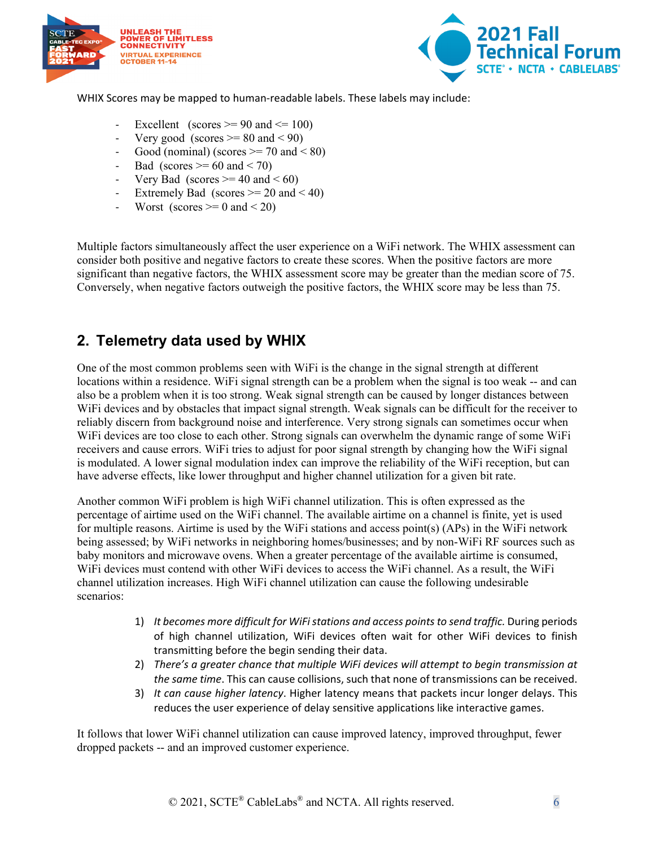



WHIX Scores may be mapped to human-readable labels. These labels may include:

- Excellent (scores  $\ge$  = 90 and  $\le$  100)
- Very good (scores  $\geq$  80 and < 90)
- Good (nominal) (scores  $\ge$  = 70 and < 80)
- Bad (scores  $\geq 60$  and  $\leq 70$ )
- Very Bad (scores  $\geq$  40 and < 60)
- Extremely Bad (scores  $\ge$  = 20 and < 40)
- Worst (scores  $\geq 0$  and  $\lt 20$ )

Multiple factors simultaneously affect the user experience on a WiFi network. The WHIX assessment can consider both positive and negative factors to create these scores. When the positive factors are more significant than negative factors, the WHIX assessment score may be greater than the median score of 75. Conversely, when negative factors outweigh the positive factors, the WHIX score may be less than 75.

### <span id="page-5-0"></span>**2. Telemetry data used by WHIX**

One of the most common problems seen with WiFi is the change in the signal strength at different locations within a residence. WiFi signal strength can be a problem when the signal is too weak -- and can also be a problem when it is too strong. Weak signal strength can be caused by longer distances between WiFi devices and by obstacles that impact signal strength. Weak signals can be difficult for the receiver to reliably discern from background noise and interference. Very strong signals can sometimes occur when WiFi devices are too close to each other. Strong signals can overwhelm the dynamic range of some WiFi receivers and cause errors. WiFi tries to adjust for poor signal strength by changing how the WiFi signal is modulated. A lower signal modulation index can improve the reliability of the WiFi reception, but can have adverse effects, like lower throughput and higher channel utilization for a given bit rate.

Another common WiFi problem is high WiFi channel utilization. This is often expressed as the percentage of airtime used on the WiFi channel. The available airtime on a channel is finite, yet is used for multiple reasons. Airtime is used by the WiFi stations and access point(s) (APs) in the WiFi network being assessed; by WiFi networks in neighboring homes/businesses; and by non-WiFi RF sources such as baby monitors and microwave ovens. When a greater percentage of the available airtime is consumed, WiFi devices must contend with other WiFi devices to access the WiFi channel. As a result, the WiFi channel utilization increases. High WiFi channel utilization can cause the following undesirable scenarios:

- 1) *It becomes more difficult for WiFistations and access points to send traffic.* During periods of high channel utilization, WiFi devices often wait for other WiFi devices to finish transmitting before the begin sending their data.
- 2) *There's a greater chance that multiple WiFi devices will attempt to begin transmission at the same time*. This can cause collisions, such that none of transmissions can be received.
- 3) *It can cause higher latency*. Higher latency means that packets incur longer delays. This reduces the user experience of delay sensitive applications like interactive games.

It follows that lower WiFi channel utilization can cause improved latency, improved throughput, fewer dropped packets -- and an improved customer experience.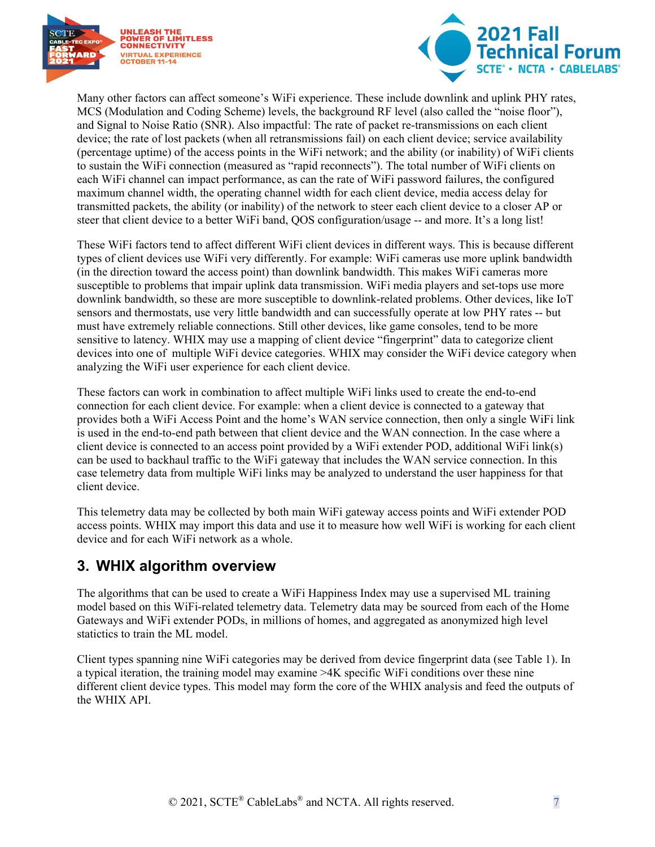



Many other factors can affect someone's WiFi experience. These include downlink and uplink PHY rates, MCS (Modulation and Coding Scheme) levels, the background RF level (also called the "noise floor"), and Signal to Noise Ratio (SNR). Also impactful: The rate of packet re-transmissions on each client device; the rate of lost packets (when all retransmissions fail) on each client device; service availability (percentage uptime) of the access points in the WiFi network; and the ability (or inability) of WiFi clients to sustain the WiFi connection (measured as "rapid reconnects"). The total number of WiFi clients on each WiFi channel can impact performance, as can the rate of WiFi password failures, the configured maximum channel width, the operating channel width for each client device, media access delay for transmitted packets, the ability (or inability) of the network to steer each client device to a closer AP or steer that client device to a better WiFi band, QOS configuration/usage -- and more. It's a long list!

These WiFi factors tend to affect different WiFi client devices in different ways. This is because different types of client devices use WiFi very differently. For example: WiFi cameras use more uplink bandwidth (in the direction toward the access point) than downlink bandwidth. This makes WiFi cameras more susceptible to problems that impair uplink data transmission. WiFi media players and set-tops use more downlink bandwidth, so these are more susceptible to downlink-related problems. Other devices, like IoT sensors and thermostats, use very little bandwidth and can successfully operate at low PHY rates -- but must have extremely reliable connections. Still other devices, like game consoles, tend to be more sensitive to latency. WHIX may use a mapping of client device "fingerprint" data to categorize client devices into one of multiple WiFi device categories. WHIX may consider the WiFi device category when analyzing the WiFi user experience for each client device.

These factors can work in combination to affect multiple WiFi links used to create the end-to-end connection for each client device. For example: when a client device is connected to a gateway that provides both a WiFi Access Point and the home's WAN service connection, then only a single WiFi link is used in the end-to-end path between that client device and the WAN connection. In the case where a client device is connected to an access point provided by a WiFi extender POD, additional WiFi link(s) can be used to backhaul traffic to the WiFi gateway that includes the WAN service connection. In this case telemetry data from multiple WiFi links may be analyzed to understand the user happiness for that client device.

This telemetry data may be collected by both main WiFi gateway access points and WiFi extender POD access points. WHIX may import this data and use it to measure how well WiFi is working for each client device and for each WiFi network as a whole.

## <span id="page-6-0"></span>**3. WHIX algorithm overview**

The algorithms that can be used to create a WiFi Happiness Index may use a supervised ML training model based on this WiFi-related telemetry data. Telemetry data may be sourced from each of the Home Gateways and WiFi extender PODs, in millions of homes, and aggregated as anonymized high level statictics to train the ML model.

Client types spanning nine WiFi categories may be derived from device fingerprint data (see Table 1). In a typical iteration, the training model may examine >4K specific WiFi conditions over these nine different client device types. This model may form the core of the WHIX analysis and feed the outputs of the WHIX API.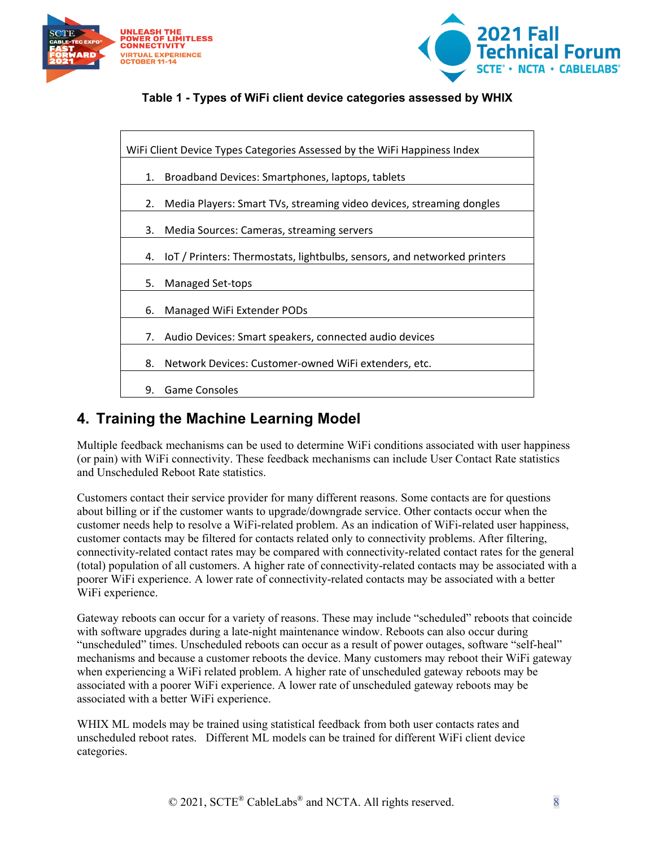



#### **Table 1 - Types of WiFi client device categories assessed by WHIX**

<span id="page-7-1"></span>

| WiFi Client Device Types Categories Assessed by the WiFi Happiness Index |                                                                             |  |  |  |
|--------------------------------------------------------------------------|-----------------------------------------------------------------------------|--|--|--|
| 1.                                                                       | Broadband Devices: Smartphones, laptops, tablets                            |  |  |  |
| 2.                                                                       | Media Players: Smart TVs, streaming video devices, streaming dongles        |  |  |  |
| 3.                                                                       | Media Sources: Cameras, streaming servers                                   |  |  |  |
|                                                                          | 4. IoT / Printers: Thermostats, lightbulbs, sensors, and networked printers |  |  |  |
| 5.                                                                       | Managed Set-tops                                                            |  |  |  |
| 6.                                                                       | Managed WiFi Extender PODs                                                  |  |  |  |
| 7.                                                                       | Audio Devices: Smart speakers, connected audio devices                      |  |  |  |
| 8.                                                                       | Network Devices: Customer-owned WiFi extenders, etc.                        |  |  |  |
| 9.                                                                       | <b>Game Consoles</b>                                                        |  |  |  |

### <span id="page-7-0"></span>**4. Training the Machine Learning Model**

Multiple feedback mechanisms can be used to determine WiFi conditions associated with user happiness (or pain) with WiFi connectivity. These feedback mechanisms can include User Contact Rate statistics and Unscheduled Reboot Rate statistics.

Customers contact their service provider for many different reasons. Some contacts are for questions about billing or if the customer wants to upgrade/downgrade service. Other contacts occur when the customer needs help to resolve a WiFi-related problem. As an indication of WiFi-related user happiness, customer contacts may be filtered for contacts related only to connectivity problems. After filtering, connectivity-related contact rates may be compared with connectivity-related contact rates for the general (total) population of all customers. A higher rate of connectivity-related contacts may be associated with a poorer WiFi experience. A lower rate of connectivity-related contacts may be associated with a better WiFi experience.

Gateway reboots can occur for a variety of reasons. These may include "scheduled" reboots that coincide with software upgrades during a late-night maintenance window. Reboots can also occur during "unscheduled" times. Unscheduled reboots can occur as a result of power outages, software "self-heal" mechanisms and because a customer reboots the device. Many customers may reboot their WiFi gateway when experiencing a WiFi related problem. A higher rate of unscheduled gateway reboots may be associated with a poorer WiFi experience. A lower rate of unscheduled gateway reboots may be associated with a better WiFi experience.

WHIX ML models may be trained using statistical feedback from both user contacts rates and unscheduled reboot rates. Different ML models can be trained for different WiFi client device categories.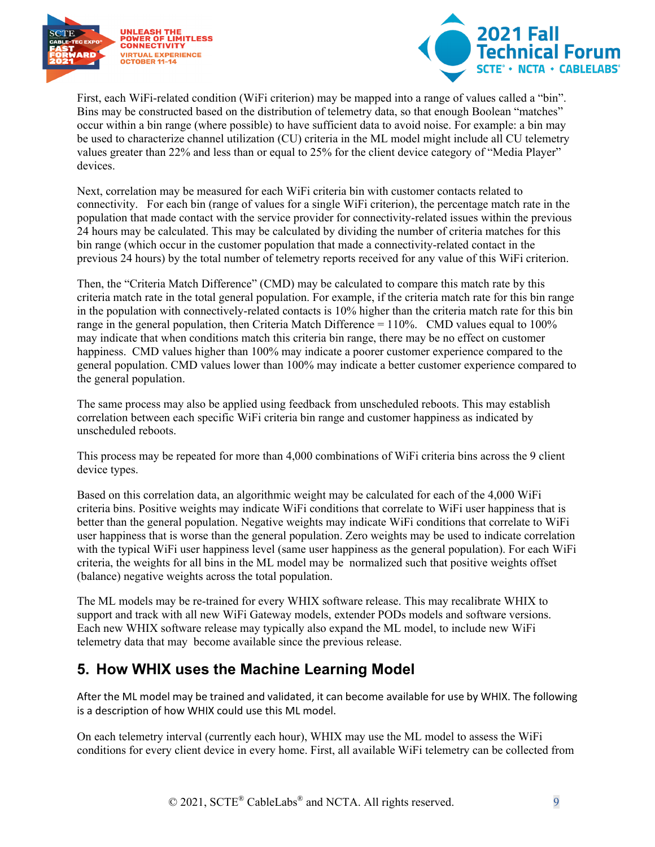



First, each WiFi-related condition (WiFi criterion) may be mapped into a range of values called a "bin". Bins may be constructed based on the distribution of telemetry data, so that enough Boolean "matches" occur within a bin range (where possible) to have sufficient data to avoid noise. For example: a bin may be used to characterize channel utilization (CU) criteria in the ML model might include all CU telemetry values greater than 22% and less than or equal to 25% for the client device category of "Media Player" devices.

Next, correlation may be measured for each WiFi criteria bin with customer contacts related to connectivity. For each bin (range of values for a single WiFi criterion), the percentage match rate in the population that made contact with the service provider for connectivity-related issues within the previous 24 hours may be calculated. This may be calculated by dividing the number of criteria matches for this bin range (which occur in the customer population that made a connectivity-related contact in the previous 24 hours) by the total number of telemetry reports received for any value of this WiFi criterion.

Then, the "Criteria Match Difference" (CMD) may be calculated to compare this match rate by this criteria match rate in the total general population. For example, if the criteria match rate for this bin range in the population with connectively-related contacts is 10% higher than the criteria match rate for this bin range in the general population, then Criteria Match Difference = 110%. CMD values equal to 100% may indicate that when conditions match this criteria bin range, there may be no effect on customer happiness. CMD values higher than 100% may indicate a poorer customer experience compared to the general population. CMD values lower than 100% may indicate a better customer experience compared to the general population.

The same process may also be applied using feedback from unscheduled reboots. This may establish correlation between each specific WiFi criteria bin range and customer happiness as indicated by unscheduled reboots.

This process may be repeated for more than 4,000 combinations of WiFi criteria bins across the 9 client device types.

Based on this correlation data, an algorithmic weight may be calculated for each of the 4,000 WiFi criteria bins. Positive weights may indicate WiFi conditions that correlate to WiFi user happiness that is better than the general population. Negative weights may indicate WiFi conditions that correlate to WiFi user happiness that is worse than the general population. Zero weights may be used to indicate correlation with the typical WiFi user happiness level (same user happiness as the general population). For each WiFi criteria, the weights for all bins in the ML model may be normalized such that positive weights offset (balance) negative weights across the total population.

The ML models may be re-trained for every WHIX software release. This may recalibrate WHIX to support and track with all new WiFi Gateway models, extender PODs models and software versions. Each new WHIX software release may typically also expand the ML model, to include new WiFi telemetry data that may become available since the previous release.

### <span id="page-8-0"></span>**5. How WHIX uses the Machine Learning Model**

After the ML model may be trained and validated, it can become available for use by WHIX. The following is a description of how WHIX could use this ML model.

On each telemetry interval (currently each hour), WHIX may use the ML model to assess the WiFi conditions for every client device in every home. First, all available WiFi telemetry can be collected from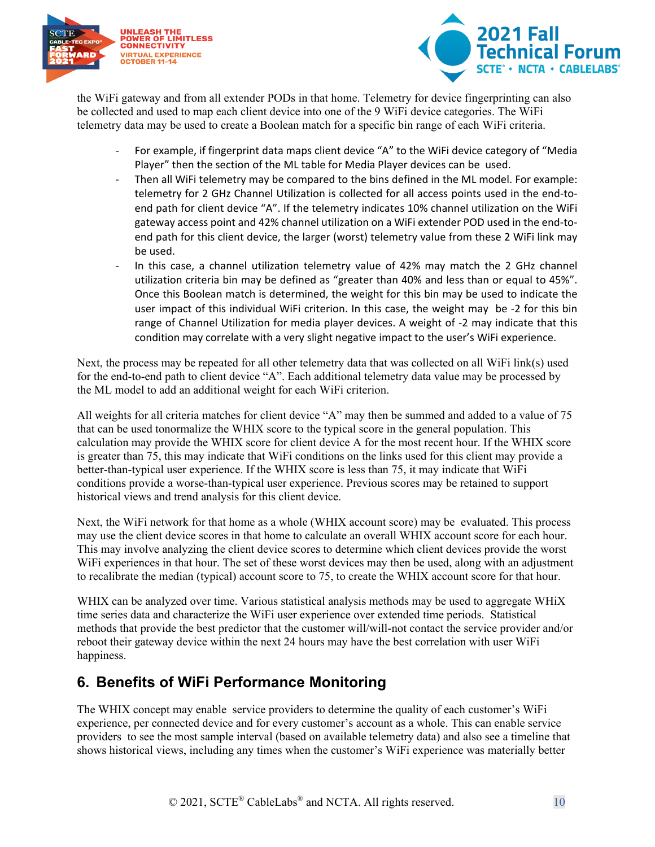



the WiFi gateway and from all extender PODs in that home. Telemetry for device fingerprinting can also be collected and used to map each client device into one of the 9 WiFi device categories. The WiFi telemetry data may be used to create a Boolean match for a specific bin range of each WiFi criteria.

- For example, if fingerprint data maps client device "A" to the WiFi device category of "Media Player" then the section of the ML table for Media Player devices can be used.
- Then all WiFi telemetry may be compared to the bins defined in the ML model. For example: telemetry for 2 GHz Channel Utilization is collected for all access points used in the end-toend path for client device "A". If the telemetry indicates 10% channel utilization on the WiFi gateway access point and 42% channel utilization on a WiFi extender POD used in the end-toend path for this client device, the larger (worst) telemetry value from these 2 WiFi link may be used.
- In this case, a channel utilization telemetry value of 42% may match the 2 GHz channel utilization criteria bin may be defined as "greater than 40% and less than or equal to 45%". Once this Boolean match is determined, the weight for this bin may be used to indicate the user impact of this individual WiFi criterion. In this case, the weight may be -2 for this bin range of Channel Utilization for media player devices. A weight of -2 may indicate that this condition may correlate with a very slight negative impact to the user's WiFi experience.

Next, the process may be repeated for all other telemetry data that was collected on all WiFi link(s) used for the end-to-end path to client device "A". Each additional telemetry data value may be processed by the ML model to add an additional weight for each WiFi criterion.

All weights for all criteria matches for client device "A" may then be summed and added to a value of 75 that can be used tonormalize the WHIX score to the typical score in the general population. This calculation may provide the WHIX score for client device A for the most recent hour. If the WHIX score is greater than 75, this may indicate that WiFi conditions on the links used for this client may provide a better-than-typical user experience. If the WHIX score is less than 75, it may indicate that WiFi conditions provide a worse-than-typical user experience. Previous scores may be retained to support historical views and trend analysis for this client device.

Next, the WiFi network for that home as a whole (WHIX account score) may be evaluated. This process may use the client device scores in that home to calculate an overall WHIX account score for each hour. This may involve analyzing the client device scores to determine which client devices provide the worst WiFi experiences in that hour. The set of these worst devices may then be used, along with an adjustment to recalibrate the median (typical) account score to 75, to create the WHIX account score for that hour.

WHIX can be analyzed over time. Various statistical analysis methods may be used to aggregate WHiX time series data and characterize the WiFi user experience over extended time periods. Statistical methods that provide the best predictor that the customer will/will-not contact the service provider and/or reboot their gateway device within the next 24 hours may have the best correlation with user WiFi happiness.

## <span id="page-9-0"></span>**6. Benefits of WiFi Performance Monitoring**

The WHIX concept may enable service providers to determine the quality of each customer's WiFi experience, per connected device and for every customer's account as a whole. This can enable service providers to see the most sample interval (based on available telemetry data) and also see a timeline that shows historical views, including any times when the customer's WiFi experience was materially better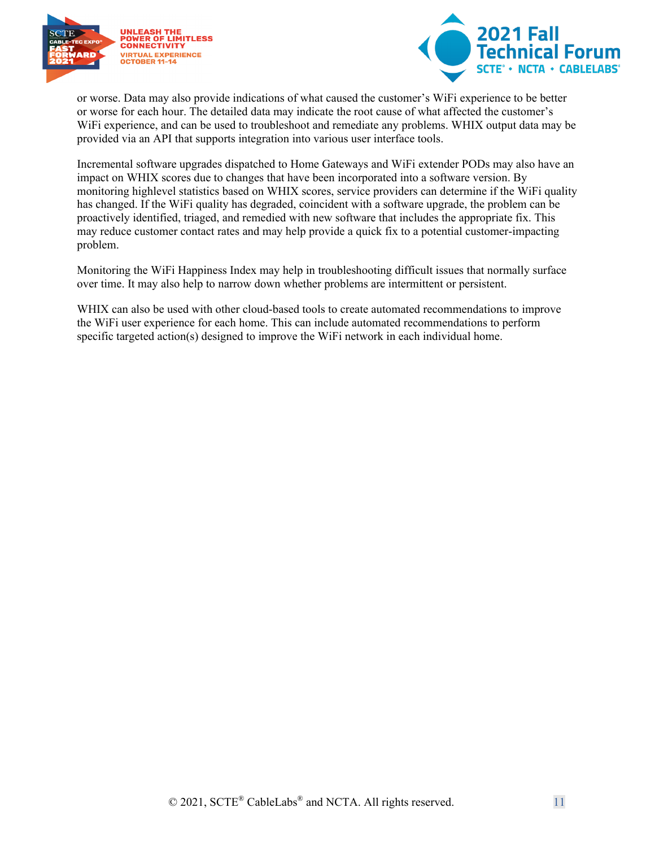



or worse. Data may also provide indications of what caused the customer's WiFi experience to be better or worse for each hour. The detailed data may indicate the root cause of what affected the customer's WiFi experience, and can be used to troubleshoot and remediate any problems. WHIX output data may be provided via an API that supports integration into various user interface tools.

Incremental software upgrades dispatched to Home Gateways and WiFi extender PODs may also have an impact on WHIX scores due to changes that have been incorporated into a software version. By monitoring highlevel statistics based on WHIX scores, service providers can determine if the WiFi quality has changed. If the WiFi quality has degraded, coincident with a software upgrade, the problem can be proactively identified, triaged, and remedied with new software that includes the appropriate fix. This may reduce customer contact rates and may help provide a quick fix to a potential customer-impacting problem.

Monitoring the WiFi Happiness Index may help in troubleshooting difficult issues that normally surface over time. It may also help to narrow down whether problems are intermittent or persistent.

WHIX can also be used with other cloud-based tools to create automated recommendations to improve the WiFi user experience for each home. This can include automated recommendations to perform specific targeted action(s) designed to improve the WiFi network in each individual home.